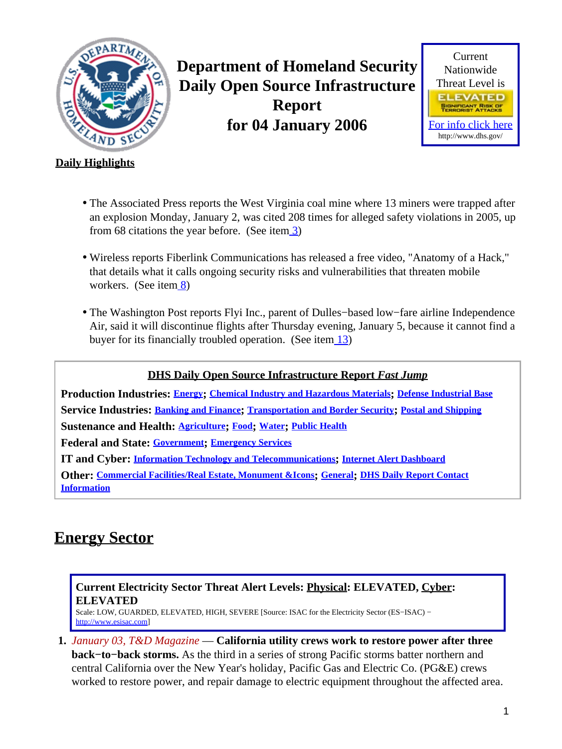<span id="page-0-1"></span>

**Department of Homeland Security Daily Open Source Infrastructure Report for 04 January 2006**



#### **Daily Highlights**

- The Associated Press reports the West Virginia coal mine where 13 miners were trapped after an explosion Monday, January 2, was cited 208 times for alleged safety violations in 2005, up from 68 citations the year before. (See ite[m 3\)](#page-1-0)
- Wireless reports Fiberlink Communications has released a free video, "Anatomy of a Hack," that details what it calls ongoing security risks and vulnerabilities that threaten mobile workers. (See ite[m 8](#page-3-0))
- The Washington Post reports Flyi Inc., parent of Dulles−based low−fare airline Independence Air, said it will discontinue flights after Thursday evening, January 5, because it cannot find a buyer for its financially troubled operation. (See item [13\)](#page-5-0)

#### **DHS Daily Open Source Infrastructure Report** *Fast Jump*

**Production Industries: [Energy](#page-0-0); [Chemical Industry and Hazardous Materials](#page-2-0); [Defense Industrial Base](#page-2-1) Service Industries: [Banking and Finance](#page-3-1); [Transportation and Border Security](#page-4-0); [Postal and Shipping](#page-6-0) Sustenance and Health: [Agriculture](#page-7-0); [Food](#page-7-1); [Water](#page-7-2); [Public Health](#page-7-3)**

**Federal and State: [Government](#page-9-0); [Emergency Services](#page-9-1)**

**IT and Cyber: [Information Technology and Telecommunications](#page-11-0); [Internet Alert Dashboard](#page-12-0)**

**Other: [Commercial Facilities/Real Estate, Monument &Icons](#page-15-0); [General](#page-15-1); [DHS Daily Report Contact](#page-15-2) [Information](#page-15-2)**

### <span id="page-0-0"></span>**Energy Sector**

#### **Current Electricity Sector Threat Alert Levels: Physical: ELEVATED, Cyber: ELEVATED**

Scale: LOW, GUARDED, ELEVATED, HIGH, SEVERE [Source: ISAC for the Electricity Sector (ES−ISAC) − [http://www.esisac.com](http://esisac.com)]

**1.** *January 03, T&D Magazine* — **California utility crews work to restore power after three back−to−back storms.** As the third in a series of strong Pacific storms batter northern and central California over the New Year's holiday, Pacific Gas and Electric Co. (PG&E) crews worked to restore power, and repair damage to electric equipment throughout the affected area.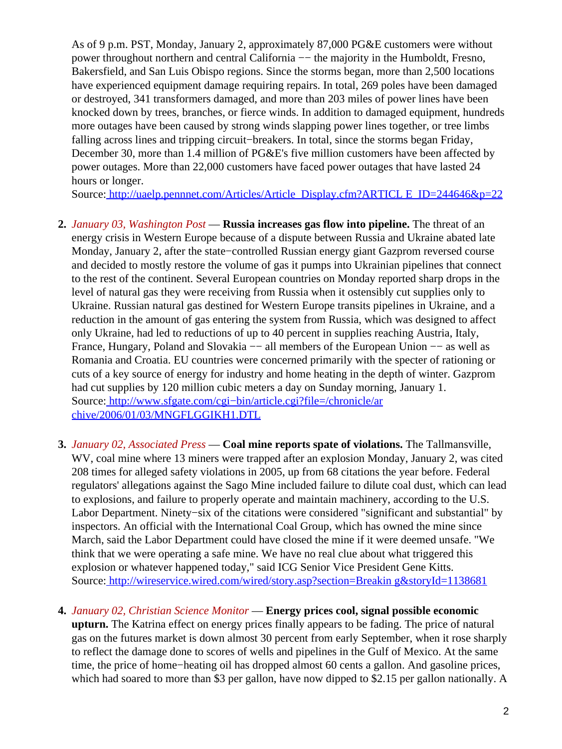As of 9 p.m. PST, Monday, January 2, approximately 87,000 PG&E customers were without power throughout northern and central California –– the majority in the Humboldt, Fresno, Bakersfield, and San Luis Obispo regions. Since the storms began, more than 2,500 locations have experienced equipment damage requiring repairs. In total, 269 poles have been damaged or destroyed, 341 transformers damaged, and more than 203 miles of power lines have been knocked down by trees, branches, or fierce winds. In addition to damaged equipment, hundreds more outages have been caused by strong winds slapping power lines together, or tree limbs falling across lines and tripping circuit−breakers. In total, since the storms began Friday, December 30, more than 1.4 million of PG&E's five million customers have been affected by power outages. More than 22,000 customers have faced power outages that have lasted 24 hours or longer.

Source[: http://uaelp.pennnet.com/Articles/Article\\_Display.cfm?ARTICL E\\_ID=244646&p=22](http://uaelp.pennnet.com/Articles/Article_Display.cfm?ARTICLE_ID=244646&p=22)

- **2.** *January 03, Washington Post* — **Russia increases gas flow into pipeline.** The threat of an energy crisis in Western Europe because of a dispute between Russia and Ukraine abated late Monday, January 2, after the state−controlled Russian energy giant Gazprom reversed course and decided to mostly restore the volume of gas it pumps into Ukrainian pipelines that connect to the rest of the continent. Several European countries on Monday reported sharp drops in the level of natural gas they were receiving from Russia when it ostensibly cut supplies only to Ukraine. Russian natural gas destined for Western Europe transits pipelines in Ukraine, and a reduction in the amount of gas entering the system from Russia, which was designed to affect only Ukraine, had led to reductions of up to 40 percent in supplies reaching Austria, Italy, France, Hungary, Poland and Slovakia −− all members of the European Union −− as well as Romania and Croatia. EU countries were concerned primarily with the specter of rationing or cuts of a key source of energy for industry and home heating in the depth of winter. Gazprom had cut supplies by 120 million cubic meters a day on Sunday morning, January 1. Source[: http://www.sfgate.com/cgi−bin/article.cgi?file=/chronicle/ar](http://www.sfgate.com/cgi-bin/article.cgi?file=/chronicle/archive/2006/01/03/MNGFLGGIKH1.DTL) [chive/2006/01/03/MNGFLGGIKH1.DTL](http://www.sfgate.com/cgi-bin/article.cgi?file=/chronicle/archive/2006/01/03/MNGFLGGIKH1.DTL)
- <span id="page-1-0"></span>**3.** *January 02, Associated Press* — **Coal mine reports spate of violations.** The Tallmansville, WV, coal mine where 13 miners were trapped after an explosion Monday, January 2, was cited 208 times for alleged safety violations in 2005, up from 68 citations the year before. Federal regulators' allegations against the Sago Mine included failure to dilute coal dust, which can lead to explosions, and failure to properly operate and maintain machinery, according to the U.S. Labor Department. Ninety−six of the citations were considered "significant and substantial" by inspectors. An official with the International Coal Group, which has owned the mine since March, said the Labor Department could have closed the mine if it were deemed unsafe. "We think that we were operating a safe mine. We have no real clue about what triggered this explosion or whatever happened today," said ICG Senior Vice President Gene Kitts. Source[: http://wireservice.wired.com/wired/story.asp?section=Breakin g&storyId=1138681](http://wireservice.wired.com/wired/story.asp?section=Breaking&storyId=1138681)
- **4.** *January 02, Christian Science Monitor* — **Energy prices cool, signal possible economic upturn.** The Katrina effect on energy prices finally appears to be fading. The price of natural gas on the futures market is down almost 30 percent from early September, when it rose sharply to reflect the damage done to scores of wells and pipelines in the Gulf of Mexico. At the same time, the price of home−heating oil has dropped almost 60 cents a gallon. And gasoline prices, which had soared to more than \$3 per gallon, have now dipped to \$2.15 per gallon nationally. A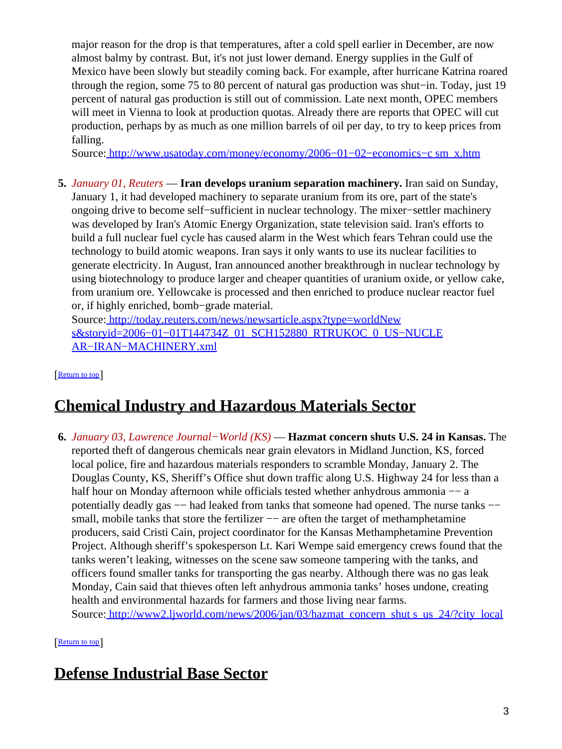major reason for the drop is that temperatures, after a cold spell earlier in December, are now almost balmy by contrast. But, it's not just lower demand. Energy supplies in the Gulf of Mexico have been slowly but steadily coming back. For example, after hurricane Katrina roared through the region, some 75 to 80 percent of natural gas production was shut−in. Today, just 19 percent of natural gas production is still out of commission. Late next month, OPEC members will meet in Vienna to look at production quotas. Already there are reports that OPEC will cut production, perhaps by as much as one million barrels of oil per day, to try to keep prices from falling.

Source[: http://www.usatoday.com/money/economy/2006−01−02−economics−c sm\\_x.htm](http://www.usatoday.com/money/economy/2006-01-02-economics-csm_x.htm)

**5.** *January 01, Reuters* — **Iran develops uranium separation machinery.** Iran said on Sunday, January 1, it had developed machinery to separate uranium from its ore, part of the state's ongoing drive to become self−sufficient in nuclear technology. The mixer−settler machinery was developed by Iran's Atomic Energy Organization, state television said. Iran's efforts to build a full nuclear fuel cycle has caused alarm in the West which fears Tehran could use the technology to build atomic weapons. Iran says it only wants to use its nuclear facilities to generate electricity. In August, Iran announced another breakthrough in nuclear technology by using biotechnology to produce larger and cheaper quantities of uranium oxide, or yellow cake, from uranium ore. Yellowcake is processed and then enriched to produce nuclear reactor fuel or, if highly enriched, bomb−grade material.

Source[: http://today.reuters.com/news/newsarticle.aspx?type=worldNew](http://today.reuters.com/news/newsarticle.aspx?type=worldNews&storyid=2006-01-01T144734Z_01_SCH152880_RTRUKOC_0_US-NUCLEAR-IRAN-MACHINERY.xml) s&storyid=2006-01-01T144734Z\_01\_SCH152880\_RTRUKOC\_0\_US-NUCLE [AR−IRAN−MACHINERY.xml](http://today.reuters.com/news/newsarticle.aspx?type=worldNews&storyid=2006-01-01T144734Z_01_SCH152880_RTRUKOC_0_US-NUCLEAR-IRAN-MACHINERY.xml)

[[Return to top](#page-0-1)]

## <span id="page-2-0"></span>**Chemical Industry and Hazardous Materials Sector**

**6.** *January 03, Lawrence Journal−World (KS)* — **Hazmat concern shuts U.S. 24 in Kansas.** The reported theft of dangerous chemicals near grain elevators in Midland Junction, KS, forced local police, fire and hazardous materials responders to scramble Monday, January 2. The Douglas County, KS, Sheriff's Office shut down traffic along U.S. Highway 24 for less than a half hour on Monday afternoon while officials tested whether anhydrous ammonia –– a potentially deadly gas -− had leaked from tanks that someone had opened. The nurse tanks small, mobile tanks that store the fertilizer -- are often the target of methamphetamine producers, said Cristi Cain, project coordinator for the Kansas Methamphetamine Prevention Project. Although sheriff's spokesperson Lt. Kari Wempe said emergency crews found that the tanks weren't leaking, witnesses on the scene saw someone tampering with the tanks, and officers found smaller tanks for transporting the gas nearby. Although there was no gas leak Monday, Cain said that thieves often left anhydrous ammonia tanks' hoses undone, creating health and environmental hazards for farmers and those living near farms. Source[: http://www2.ljworld.com/news/2006/jan/03/hazmat\\_concern\\_shut s\\_us\\_24/?city\\_local](http://www2.ljworld.com/news/2006/jan/03/hazmat_concern_shuts_us_24/?city_local)

[[Return to top](#page-0-1)]

## <span id="page-2-1"></span>**Defense Industrial Base Sector**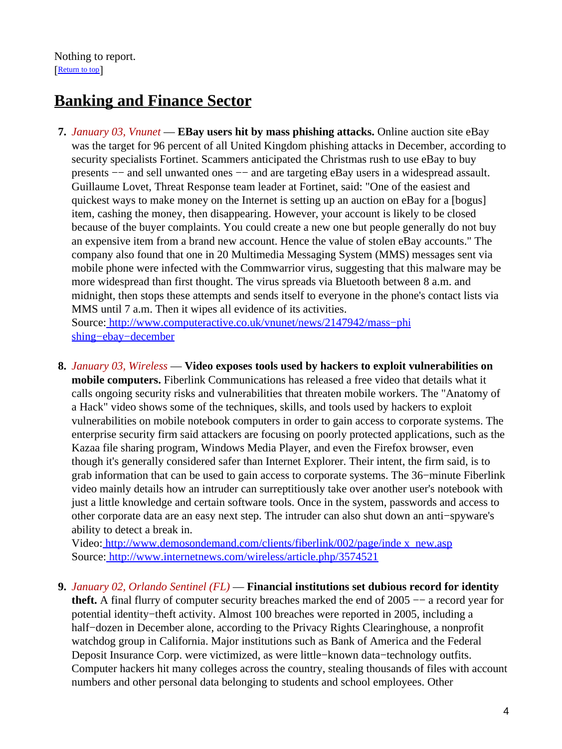## <span id="page-3-1"></span>**Banking and Finance Sector**

- **7.** *January 03, Vnunet* — **EBay users hit by mass phishing attacks.** Online auction site eBay was the target for 96 percent of all United Kingdom phishing attacks in December, according to security specialists Fortinet. Scammers anticipated the Christmas rush to use eBay to buy presents  $-$  and sell unwanted ones  $-$  and are targeting eBay users in a widespread assault. Guillaume Lovet, Threat Response team leader at Fortinet, said: "One of the easiest and quickest ways to make money on the Internet is setting up an auction on eBay for a [bogus] item, cashing the money, then disappearing. However, your account is likely to be closed because of the buyer complaints. You could create a new one but people generally do not buy an expensive item from a brand new account. Hence the value of stolen eBay accounts." The company also found that one in 20 Multimedia Messaging System (MMS) messages sent via mobile phone were infected with the Commwarrior virus, suggesting that this malware may be more widespread than first thought. The virus spreads via Bluetooth between 8 a.m. and midnight, then stops these attempts and sends itself to everyone in the phone's contact lists via MMS until 7 a.m. Then it wipes all evidence of its activities. Source[: http://www.computeractive.co.uk/vnunet/news/2147942/mass−phi](http://www.computeractive.co.uk/vnunet/news/2147942/mass-phishing-ebay-december) [shing−ebay−december](http://www.computeractive.co.uk/vnunet/news/2147942/mass-phishing-ebay-december)
- <span id="page-3-0"></span>**8.** *January 03, Wireless* — **Video exposes tools used by hackers to exploit vulnerabilities on mobile computers.** Fiberlink Communications has released a free video that details what it calls ongoing security risks and vulnerabilities that threaten mobile workers. The "Anatomy of a Hack" video shows some of the techniques, skills, and tools used by hackers to exploit vulnerabilities on mobile notebook computers in order to gain access to corporate systems. The enterprise security firm said attackers are focusing on poorly protected applications, such as the Kazaa file sharing program, Windows Media Player, and even the Firefox browser, even though it's generally considered safer than Internet Explorer. Their intent, the firm said, is to grab information that can be used to gain access to corporate systems. The 36−minute Fiberlink video mainly details how an intruder can surreptitiously take over another user's notebook with just a little knowledge and certain software tools. Once in the system, passwords and access to other corporate data are an easy next step. The intruder can also shut down an anti−spyware's ability to detect a break in.

Video: [http://www.demosondemand.com/clients/fiberlink/002/page/inde x\\_new.asp](http://www.demosondemand.com/clients/fiberlink/002/page/index_new.asp) Source[: http://www.internetnews.com/wireless/article.php/3574521](http://www.internetnews.com/wireless/article.php/3574521)

**9.** *January 02, Orlando Sentinel (FL)* — **Financial institutions set dubious record for identity theft.** A final flurry of computer security breaches marked the end of 2005 −− a record year for potential identity−theft activity. Almost 100 breaches were reported in 2005, including a half−dozen in December alone, according to the Privacy Rights Clearinghouse, a nonprofit watchdog group in California. Major institutions such as Bank of America and the Federal Deposit Insurance Corp. were victimized, as were little−known data−technology outfits. Computer hackers hit many colleges across the country, stealing thousands of files with account numbers and other personal data belonging to students and school employees. Other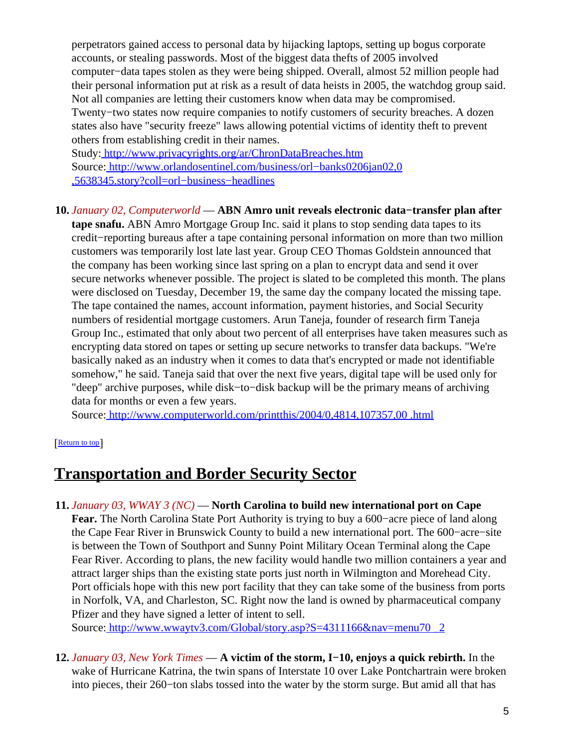perpetrators gained access to personal data by hijacking laptops, setting up bogus corporate accounts, or stealing passwords. Most of the biggest data thefts of 2005 involved computer−data tapes stolen as they were being shipped. Overall, almost 52 million people had their personal information put at risk as a result of data heists in 2005, the watchdog group said. Not all companies are letting their customers know when data may be compromised. Twenty−two states now require companies to notify customers of security breaches. A dozen states also have "security freeze" laws allowing potential victims of identity theft to prevent others from establishing credit in their names.

Study[: http://www.privacyrights.org/ar/ChronDataBreaches.htm](http://www.privacyrights.org/ar/ChronDataBreaches.htm) Source[: http://www.orlandosentinel.com/business/orl−banks0206jan02,0](http://www.orlandosentinel.com/business/orl-banks0206jan02,0,5638345.story?coll=orl-business-headlines) [,5638345.story?coll=orl−business−headlines](http://www.orlandosentinel.com/business/orl-banks0206jan02,0,5638345.story?coll=orl-business-headlines)

#### **10.** *January 02, Computerworld* — **ABN Amro unit reveals electronic data−transfer plan after**

**tape snafu.** ABN Amro Mortgage Group Inc. said it plans to stop sending data tapes to its credit−reporting bureaus after a tape containing personal information on more than two million customers was temporarily lost late last year. Group CEO Thomas Goldstein announced that the company has been working since last spring on a plan to encrypt data and send it over secure networks whenever possible. The project is slated to be completed this month. The plans were disclosed on Tuesday, December 19, the same day the company located the missing tape. The tape contained the names, account information, payment histories, and Social Security numbers of residential mortgage customers. Arun Taneja, founder of research firm Taneja Group Inc., estimated that only about two percent of all enterprises have taken measures such as encrypting data stored on tapes or setting up secure networks to transfer data backups. "We're basically naked as an industry when it comes to data that's encrypted or made not identifiable somehow," he said. Taneja said that over the next five years, digital tape will be used only for "deep" archive purposes, while disk−to−disk backup will be the primary means of archiving data for months or even a few years.

Source[: http://www.computerworld.com/printthis/2004/0,4814,107357,00 .html](http://www.computerworld.com/printthis/2004/0,4814,107357,00.html)

#### [[Return to top](#page-0-1)]

### <span id="page-4-0"></span>**Transportation and Border Security Sector**

**11.** *January 03, WWAY 3 (NC)* — **North Carolina to build new international port on Cape Fear.** The North Carolina State Port Authority is trying to buy a 600−acre piece of land along the Cape Fear River in Brunswick County to build a new international port. The 600−acre−site is between the Town of Southport and Sunny Point Military Ocean Terminal along the Cape Fear River. According to plans, the new facility would handle two million containers a year and attract larger ships than the existing state ports just north in Wilmington and Morehead City. Port officials hope with this new port facility that they can take some of the business from ports in Norfolk, VA, and Charleston, SC. Right now the land is owned by pharmaceutical company Pfizer and they have signed a letter of intent to sell.

Source[: http://www.wwaytv3.com/Global/story.asp?S=4311166&nav=menu70 \\_2](http://www.wwaytv3.com/Global/story.asp?S=4311166&nav=menu70_2)

**12.** *January 03, New York Times* — **A victim of the storm, I−10, enjoys a quick rebirth.** In the wake of Hurricane Katrina, the twin spans of Interstate 10 over Lake Pontchartrain were broken into pieces, their 260−ton slabs tossed into the water by the storm surge. But amid all that has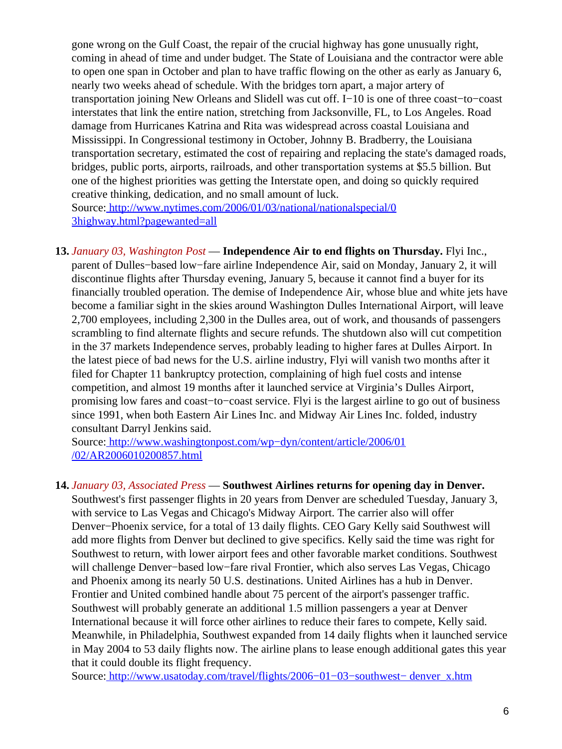gone wrong on the Gulf Coast, the repair of the crucial highway has gone unusually right, coming in ahead of time and under budget. The State of Louisiana and the contractor were able to open one span in October and plan to have traffic flowing on the other as early as January 6, nearly two weeks ahead of schedule. With the bridges torn apart, a major artery of transportation joining New Orleans and Slidell was cut off. I−10 is one of three coast−to−coast interstates that link the entire nation, stretching from Jacksonville, FL, to Los Angeles. Road damage from Hurricanes Katrina and Rita was widespread across coastal Louisiana and Mississippi. In Congressional testimony in October, Johnny B. Bradberry, the Louisiana transportation secretary, estimated the cost of repairing and replacing the state's damaged roads, bridges, public ports, airports, railroads, and other transportation systems at \$5.5 billion. But one of the highest priorities was getting the Interstate open, and doing so quickly required creative thinking, dedication, and no small amount of luck.

Source[: http://www.nytimes.com/2006/01/03/national/nationalspecial/0](http://www.nytimes.com/2006/01/03/national/nationalspecial/03highway.html?pagewanted=all) [3highway.html?pagewanted=all](http://www.nytimes.com/2006/01/03/national/nationalspecial/03highway.html?pagewanted=all)

<span id="page-5-0"></span>**13.** *January 03, Washington Post* — **Independence Air to end flights on Thursday.** Flyi Inc., parent of Dulles−based low−fare airline Independence Air, said on Monday, January 2, it will discontinue flights after Thursday evening, January 5, because it cannot find a buyer for its financially troubled operation. The demise of Independence Air, whose blue and white jets have become a familiar sight in the skies around Washington Dulles International Airport, will leave 2,700 employees, including 2,300 in the Dulles area, out of work, and thousands of passengers scrambling to find alternate flights and secure refunds. The shutdown also will cut competition in the 37 markets Independence serves, probably leading to higher fares at Dulles Airport. In the latest piece of bad news for the U.S. airline industry, Flyi will vanish two months after it filed for Chapter 11 bankruptcy protection, complaining of high fuel costs and intense competition, and almost 19 months after it launched service at Virginia's Dulles Airport, promising low fares and coast−to−coast service. Flyi is the largest airline to go out of business since 1991, when both Eastern Air Lines Inc. and Midway Air Lines Inc. folded, industry consultant Darryl Jenkins said.

Source[: http://www.washingtonpost.com/wp−dyn/content/article/2006/01](http://www.washingtonpost.com/wp-dyn/content/article/2006/01/02/AR2006010200857.html) [/02/AR2006010200857.html](http://www.washingtonpost.com/wp-dyn/content/article/2006/01/02/AR2006010200857.html)

#### **14.** *January 03, Associated Press* — **Southwest Airlines returns for opening day in Denver.**

Southwest's first passenger flights in 20 years from Denver are scheduled Tuesday, January 3, with service to Las Vegas and Chicago's Midway Airport. The carrier also will offer Denver−Phoenix service, for a total of 13 daily flights. CEO Gary Kelly said Southwest will add more flights from Denver but declined to give specifics. Kelly said the time was right for Southwest to return, with lower airport fees and other favorable market conditions. Southwest will challenge Denver−based low−fare rival Frontier, which also serves Las Vegas, Chicago and Phoenix among its nearly 50 U.S. destinations. United Airlines has a hub in Denver. Frontier and United combined handle about 75 percent of the airport's passenger traffic. Southwest will probably generate an additional 1.5 million passengers a year at Denver International because it will force other airlines to reduce their fares to compete, Kelly said. Meanwhile, in Philadelphia, Southwest expanded from 14 daily flights when it launched service in May 2004 to 53 daily flights now. The airline plans to lease enough additional gates this year that it could double its flight frequency.

Source[: http://www.usatoday.com/travel/flights/2006−01−03−southwest− denver\\_x.htm](http://www.usatoday.com/travel/flights/2006-01-03-southwest-denver_x.htm)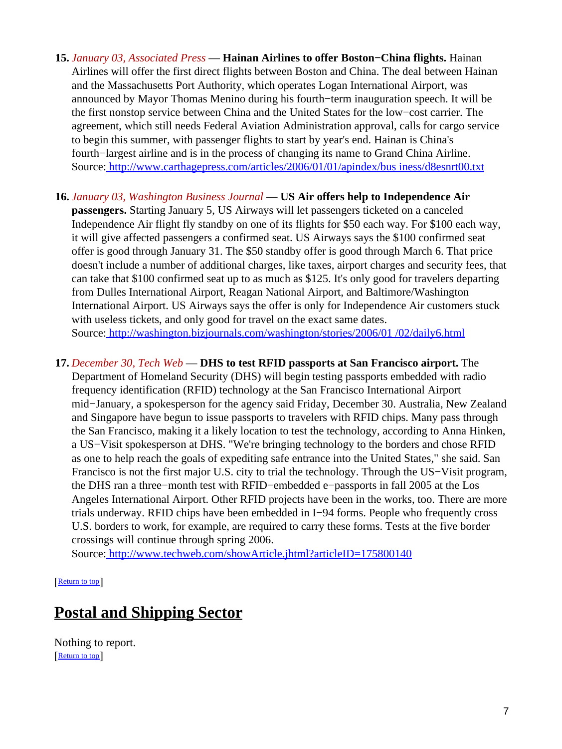- **15.** *January 03, Associated Press* — **Hainan Airlines to offer Boston−China flights.** Hainan Airlines will offer the first direct flights between Boston and China. The deal between Hainan and the Massachusetts Port Authority, which operates Logan International Airport, was announced by Mayor Thomas Menino during his fourth−term inauguration speech. It will be the first nonstop service between China and the United States for the low−cost carrier. The agreement, which still needs Federal Aviation Administration approval, calls for cargo service to begin this summer, with passenger flights to start by year's end. Hainan is China's fourth−largest airline and is in the process of changing its name to Grand China Airline. Source[: http://www.carthagepress.com/articles/2006/01/01/apindex/bus iness/d8esnrt00.txt](http://www.carthagepress.com/articles/2006/01/01/apindex/business/d8esnrt00.txt)
- **16.** *January 03, Washington Business Journal* — **US Air offers help to Independence Air passengers.** Starting January 5, US Airways will let passengers ticketed on a canceled Independence Air flight fly standby on one of its flights for \$50 each way. For \$100 each way, it will give affected passengers a confirmed seat. US Airways says the \$100 confirmed seat offer is good through January 31. The \$50 standby offer is good through March 6. That price doesn't include a number of additional charges, like taxes, airport charges and security fees, that can take that \$100 confirmed seat up to as much as \$125. It's only good for travelers departing from Dulles International Airport, Reagan National Airport, and Baltimore/Washington International Airport. US Airways says the offer is only for Independence Air customers stuck with useless tickets, and only good for travel on the exact same dates. Source[: http://washington.bizjournals.com/washington/stories/2006/01 /02/daily6.html](http://washington.bizjournals.com/washington/stories/2006/01/02/daily6.html)

#### **17.** *December 30, Tech Web* — **DHS to test RFID passports at San Francisco airport.** The

Department of Homeland Security (DHS) will begin testing passports embedded with radio frequency identification (RFID) technology at the San Francisco International Airport mid−January, a spokesperson for the agency said Friday, December 30. Australia, New Zealand and Singapore have begun to issue passports to travelers with RFID chips. Many pass through the San Francisco, making it a likely location to test the technology, according to Anna Hinken, a US−Visit spokesperson at DHS. "We're bringing technology to the borders and chose RFID as one to help reach the goals of expediting safe entrance into the United States," she said. San Francisco is not the first major U.S. city to trial the technology. Through the US−Visit program, the DHS ran a three−month test with RFID−embedded e−passports in fall 2005 at the Los Angeles International Airport. Other RFID projects have been in the works, too. There are more trials underway. RFID chips have been embedded in I−94 forms. People who frequently cross U.S. borders to work, for example, are required to carry these forms. Tests at the five border crossings will continue through spring 2006.

Source[: http://www.techweb.com/showArticle.jhtml?articleID=175800140](http://www.techweb.com/showArticle.jhtml?articleID=175800140)

[[Return to top](#page-0-1)]

### <span id="page-6-0"></span>**Postal and Shipping Sector**

Nothing to report. [[Return to top](#page-0-1)]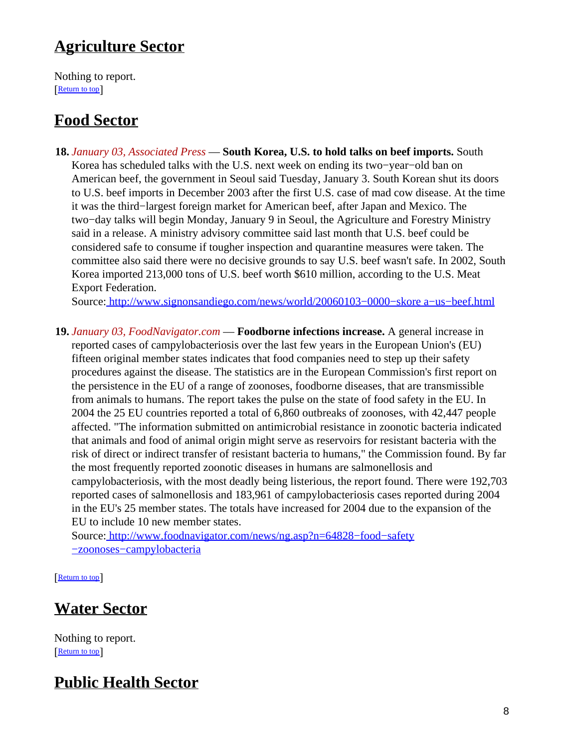## <span id="page-7-0"></span>**Agriculture Sector**

Nothing to report. [[Return to top](#page-0-1)]

# <span id="page-7-1"></span>**Food Sector**

**18.** *January 03, Associated Press* — **South Korea, U.S. to hold talks on beef imports.** South Korea has scheduled talks with the U.S. next week on ending its two−year−old ban on American beef, the government in Seoul said Tuesday, January 3. South Korean shut its doors to U.S. beef imports in December 2003 after the first U.S. case of mad cow disease. At the time it was the third−largest foreign market for American beef, after Japan and Mexico. The two−day talks will begin Monday, January 9 in Seoul, the Agriculture and Forestry Ministry said in a release. A ministry advisory committee said last month that U.S. beef could be considered safe to consume if tougher inspection and quarantine measures were taken. The committee also said there were no decisive grounds to say U.S. beef wasn't safe. In 2002, South Korea imported 213,000 tons of U.S. beef worth \$610 million, according to the U.S. Meat Export Federation.

Source[: http://www.signonsandiego.com/news/world/20060103−0000−skore a−us−beef.html](http://www.signonsandiego.com/news/world/20060103-0000-skorea-us-beef.html)

**19.** *January 03, FoodNavigator.com* — **Foodborne infections increase.** A general increase in reported cases of campylobacteriosis over the last few years in the European Union's (EU) fifteen original member states indicates that food companies need to step up their safety procedures against the disease. The statistics are in the European Commission's first report on the persistence in the EU of a range of zoonoses, foodborne diseases, that are transmissible from animals to humans. The report takes the pulse on the state of food safety in the EU. In 2004 the 25 EU countries reported a total of 6,860 outbreaks of zoonoses, with 42,447 people affected. "The information submitted on antimicrobial resistance in zoonotic bacteria indicated that animals and food of animal origin might serve as reservoirs for resistant bacteria with the risk of direct or indirect transfer of resistant bacteria to humans," the Commission found. By far the most frequently reported zoonotic diseases in humans are salmonellosis and campylobacteriosis, with the most deadly being listerious, the report found. There were 192,703 reported cases of salmonellosis and 183,961 of campylobacteriosis cases reported during 2004 in the EU's 25 member states. The totals have increased for 2004 due to the expansion of the EU to include 10 new member states.

Source[: http://www.foodnavigator.com/news/ng.asp?n=64828−food−safety](http://www.foodnavigator.com/news/ng.asp?n=64828-food-safety-zoonoses-campylobacteria) [−zoonoses−campylobacteria](http://www.foodnavigator.com/news/ng.asp?n=64828-food-safety-zoonoses-campylobacteria)

[[Return to top](#page-0-1)]

## <span id="page-7-2"></span>**Water Sector**

Nothing to report. [[Return to top](#page-0-1)]

# <span id="page-7-3"></span>**Public Health Sector**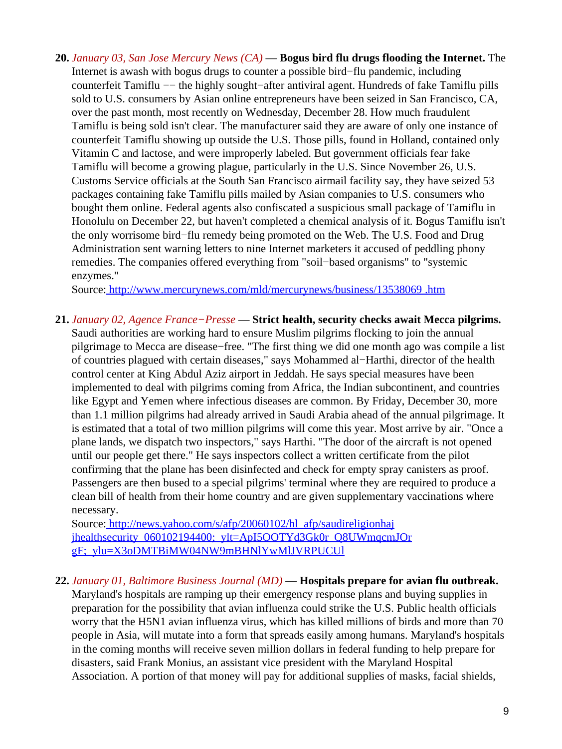**20.** *January 03, San Jose Mercury News (CA)* — **Bogus bird flu drugs flooding the Internet.** The Internet is awash with bogus drugs to counter a possible bird−flu pandemic, including counterfeit Tamiflu −− the highly sought−after antiviral agent. Hundreds of fake Tamiflu pills sold to U.S. consumers by Asian online entrepreneurs have been seized in San Francisco, CA, over the past month, most recently on Wednesday, December 28. How much fraudulent Tamiflu is being sold isn't clear. The manufacturer said they are aware of only one instance of counterfeit Tamiflu showing up outside the U.S. Those pills, found in Holland, contained only Vitamin C and lactose, and were improperly labeled. But government officials fear fake Tamiflu will become a growing plague, particularly in the U.S. Since November 26, U.S. Customs Service officials at the South San Francisco airmail facility say, they have seized 53 packages containing fake Tamiflu pills mailed by Asian companies to U.S. consumers who bought them online. Federal agents also confiscated a suspicious small package of Tamiflu in Honolulu on December 22, but haven't completed a chemical analysis of it. Bogus Tamiflu isn't the only worrisome bird−flu remedy being promoted on the Web. The U.S. Food and Drug Administration sent warning letters to nine Internet marketers it accused of peddling phony remedies. The companies offered everything from "soil−based organisms" to "systemic enzymes."

Source[: http://www.mercurynews.com/mld/mercurynews/business/13538069 .htm](http://www.mercurynews.com/mld/mercurynews/business/13538069.htm)

**21.** *January 02, Agence France−Presse* — **Strict health, security checks await Mecca pilgrims.**

Saudi authorities are working hard to ensure Muslim pilgrims flocking to join the annual pilgrimage to Mecca are disease−free. "The first thing we did one month ago was compile a list of countries plagued with certain diseases," says Mohammed al−Harthi, director of the health control center at King Abdul Aziz airport in Jeddah. He says special measures have been implemented to deal with pilgrims coming from Africa, the Indian subcontinent, and countries like Egypt and Yemen where infectious diseases are common. By Friday, December 30, more than 1.1 million pilgrims had already arrived in Saudi Arabia ahead of the annual pilgrimage. It is estimated that a total of two million pilgrims will come this year. Most arrive by air. "Once a plane lands, we dispatch two inspectors," says Harthi. "The door of the aircraft is not opened until our people get there." He says inspectors collect a written certificate from the pilot confirming that the plane has been disinfected and check for empty spray canisters as proof. Passengers are then bused to a special pilgrims' terminal where they are required to produce a clean bill of health from their home country and are given supplementary vaccinations where necessary.

Source[: http://news.yahoo.com/s/afp/20060102/hl\\_afp/saudireligionhaj](http://news.yahoo.com/s/afp/20060102/hl_afp/saudireligionhajjhealthsecurity_060102194400;_ylt=ApI5OOTYd3Gk0r_Q8UWmqcmJOrgF;_ylu=X3oDMTBiMW04NW9mBHNlYwMlJVRPUCUl) jhealthsecurity\_060102194400;\_vlt=ApI5OOTYd3Gk0r\_Q8UWmqcmJOr [gF;\\_ylu=X3oDMTBiMW04NW9mBHNlYwMlJVRPUCUl](http://news.yahoo.com/s/afp/20060102/hl_afp/saudireligionhajjhealthsecurity_060102194400;_ylt=ApI5OOTYd3Gk0r_Q8UWmqcmJOrgF;_ylu=X3oDMTBiMW04NW9mBHNlYwMlJVRPUCUl)

**22.** *January 01, Baltimore Business Journal (MD)* — **Hospitals prepare for avian flu outbreak.** Maryland's hospitals are ramping up their emergency response plans and buying supplies in preparation for the possibility that avian influenza could strike the U.S. Public health officials worry that the H5N1 avian influenza virus, which has killed millions of birds and more than 70 people in Asia, will mutate into a form that spreads easily among humans. Maryland's hospitals in the coming months will receive seven million dollars in federal funding to help prepare for disasters, said Frank Monius, an assistant vice president with the Maryland Hospital Association. A portion of that money will pay for additional supplies of masks, facial shields,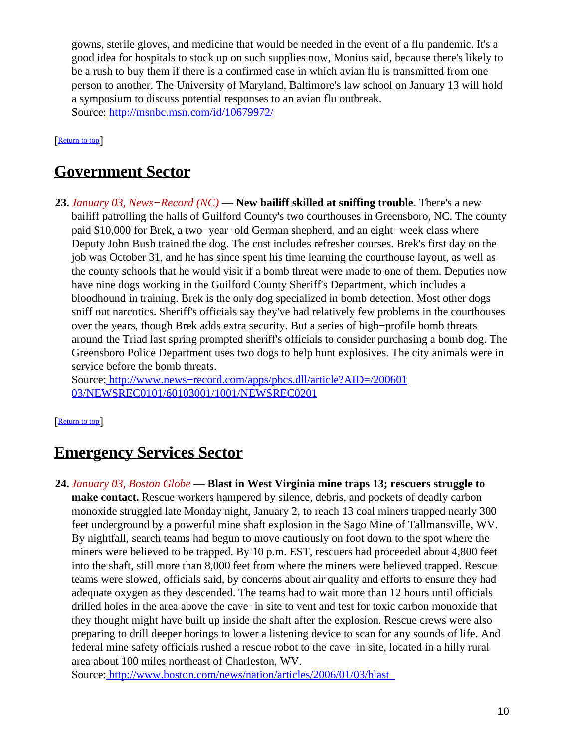gowns, sterile gloves, and medicine that would be needed in the event of a flu pandemic. It's a good idea for hospitals to stock up on such supplies now, Monius said, because there's likely to be a rush to buy them if there is a confirmed case in which avian flu is transmitted from one person to another. The University of Maryland, Baltimore's law school on January 13 will hold a symposium to discuss potential responses to an avian flu outbreak. Source[: http://msnbc.msn.com/id/10679972/](http://msnbc.msn.com/id/10679972/)

[[Return to top](#page-0-1)]

## <span id="page-9-0"></span>**Government Sector**

**23.** *January 03, News−Record (NC)* — **New bailiff skilled at sniffing trouble.** There's a new bailiff patrolling the halls of Guilford County's two courthouses in Greensboro, NC. The county paid \$10,000 for Brek, a two−year−old German shepherd, and an eight−week class where Deputy John Bush trained the dog. The cost includes refresher courses. Brek's first day on the job was October 31, and he has since spent his time learning the courthouse layout, as well as the county schools that he would visit if a bomb threat were made to one of them. Deputies now have nine dogs working in the Guilford County Sheriff's Department, which includes a bloodhound in training. Brek is the only dog specialized in bomb detection. Most other dogs sniff out narcotics. Sheriff's officials say they've had relatively few problems in the courthouses over the years, though Brek adds extra security. But a series of high−profile bomb threats around the Triad last spring prompted sheriff's officials to consider purchasing a bomb dog. The Greensboro Police Department uses two dogs to help hunt explosives. The city animals were in service before the bomb threats.

Source[: http://www.news−record.com/apps/pbcs.dll/article?AID=/200601](http://www.news-record.com/apps/pbcs.dll/article?AID=/20060103/NEWSREC0101/60103001/1001/NEWSREC0201) [03/NEWSREC0101/60103001/1001/NEWSREC0201](http://www.news-record.com/apps/pbcs.dll/article?AID=/20060103/NEWSREC0101/60103001/1001/NEWSREC0201)

#### [[Return to top](#page-0-1)]

### <span id="page-9-1"></span>**Emergency Services Sector**

**24.** *January 03, Boston Globe* — **Blast in West Virginia mine traps 13; rescuers struggle to make contact.** Rescue workers hampered by silence, debris, and pockets of deadly carbon monoxide struggled late Monday night, January 2, to reach 13 coal miners trapped nearly 300 feet underground by a powerful mine shaft explosion in the Sago Mine of Tallmansville, WV. By nightfall, search teams had begun to move cautiously on foot down to the spot where the miners were believed to be trapped. By 10 p.m. EST, rescuers had proceeded about 4,800 feet into the shaft, still more than 8,000 feet from where the miners were believed trapped. Rescue teams were slowed, officials said, by concerns about air quality and efforts to ensure they had adequate oxygen as they descended. The teams had to wait more than 12 hours until officials drilled holes in the area above the cave−in site to vent and test for toxic carbon monoxide that they thought might have built up inside the shaft after the explosion. Rescue crews were also preparing to drill deeper borings to lower a listening device to scan for any sounds of life. And federal mine safety officials rushed a rescue robot to the cave−in site, located in a hilly rural area about 100 miles northeast of Charleston, WV.

Source[: http://www.boston.com/news/nation/articles/2006/01/03/blast\\_](http://www.boston.com/news/nation/articles/2006/01/03/blast_in_w_virginia_mine_traps_13/)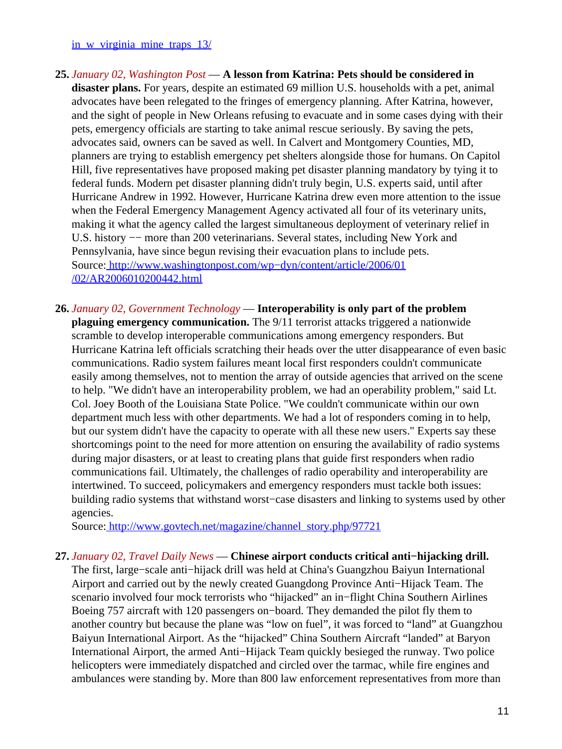[in\\_w\\_virginia\\_mine\\_traps\\_13/](http://www.boston.com/news/nation/articles/2006/01/03/blast_in_w_virginia_mine_traps_13/)

- **25.** *January 02, Washington Post* — **A lesson from Katrina: Pets should be considered in disaster plans.** For years, despite an estimated 69 million U.S. households with a pet, animal advocates have been relegated to the fringes of emergency planning. After Katrina, however, and the sight of people in New Orleans refusing to evacuate and in some cases dying with their pets, emergency officials are starting to take animal rescue seriously. By saving the pets, advocates said, owners can be saved as well. In Calvert and Montgomery Counties, MD, planners are trying to establish emergency pet shelters alongside those for humans. On Capitol Hill, five representatives have proposed making pet disaster planning mandatory by tying it to federal funds. Modern pet disaster planning didn't truly begin, U.S. experts said, until after Hurricane Andrew in 1992. However, Hurricane Katrina drew even more attention to the issue when the Federal Emergency Management Agency activated all four of its veterinary units, making it what the agency called the largest simultaneous deployment of veterinary relief in U.S. history −− more than 200 veterinarians. Several states, including New York and Pennsylvania, have since begun revising their evacuation plans to include pets. Source[: http://www.washingtonpost.com/wp−dyn/content/article/2006/01](http://www.washingtonpost.com/wp-dyn/content/article/2006/01/02/AR2006010200442.html) [/02/AR2006010200442.html](http://www.washingtonpost.com/wp-dyn/content/article/2006/01/02/AR2006010200442.html)
- **26.** *January 02, Government Technology* — **Interoperability is only part of the problem plaguing emergency communication.** The 9/11 terrorist attacks triggered a nationwide scramble to develop interoperable communications among emergency responders. But Hurricane Katrina left officials scratching their heads over the utter disappearance of even basic communications. Radio system failures meant local first responders couldn't communicate easily among themselves, not to mention the array of outside agencies that arrived on the scene to help. "We didn't have an interoperability problem, we had an operability problem," said Lt. Col. Joey Booth of the Louisiana State Police. "We couldn't communicate within our own department much less with other departments. We had a lot of responders coming in to help, but our system didn't have the capacity to operate with all these new users." Experts say these shortcomings point to the need for more attention on ensuring the availability of radio systems during major disasters, or at least to creating plans that guide first responders when radio communications fail. Ultimately, the challenges of radio operability and interoperability are intertwined. To succeed, policymakers and emergency responders must tackle both issues: building radio systems that withstand worst−case disasters and linking to systems used by other agencies.

Source[: http://www.govtech.net/magazine/channel\\_story.php/97721](http://www.govtech.net/magazine/channel_story.php/97721)

**27.** *January 02, Travel Daily News* — **Chinese airport conducts critical anti−hijacking drill.** The first, large−scale anti−hijack drill was held at China's Guangzhou Baiyun International Airport and carried out by the newly created Guangdong Province Anti−Hijack Team. The scenario involved four mock terrorists who "hijacked" an in−flight China Southern Airlines Boeing 757 aircraft with 120 passengers on−board. They demanded the pilot fly them to another country but because the plane was "low on fuel", it was forced to "land" at Guangzhou Baiyun International Airport. As the "hijacked" China Southern Aircraft "landed" at Baryon International Airport, the armed Anti−Hijack Team quickly besieged the runway. Two police helicopters were immediately dispatched and circled over the tarmac, while fire engines and ambulances were standing by. More than 800 law enforcement representatives from more than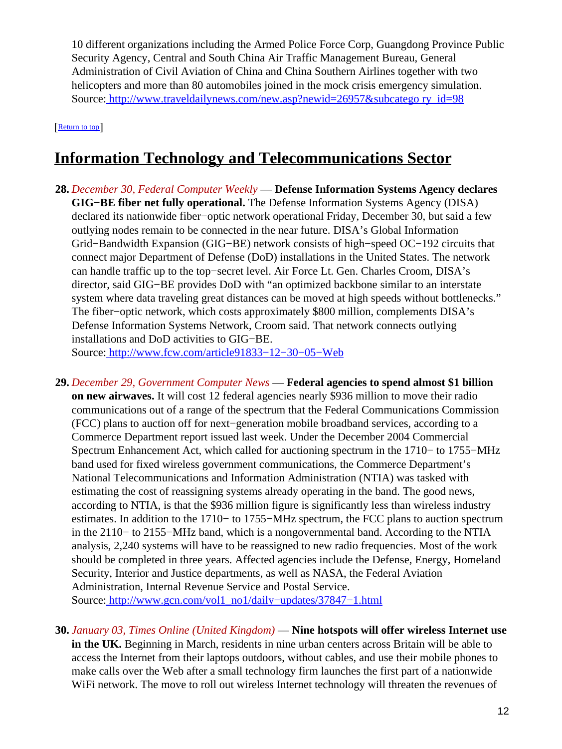10 different organizations including the Armed Police Force Corp, Guangdong Province Public Security Agency, Central and South China Air Traffic Management Bureau, General Administration of Civil Aviation of China and China Southern Airlines together with two helicopters and more than 80 automobiles joined in the mock crisis emergency simulation. Source[: http://www.traveldailynews.com/new.asp?newid=26957&subcatego ry\\_id=98](http://www.traveldailynews.com/new.asp?newid=26957&subcategory_id=98)

[[Return to top](#page-0-1)]

### <span id="page-11-0"></span>**Information Technology and Telecommunications Sector**

- **28.** *December 30, Federal Computer Weekly* — **Defense Information Systems Agency declares GIG−BE fiber net fully operational.** The Defense Information Systems Agency (DISA) declared its nationwide fiber−optic network operational Friday, December 30, but said a few outlying nodes remain to be connected in the near future. DISA's Global Information Grid−Bandwidth Expansion (GIG−BE) network consists of high−speed OC−192 circuits that connect major Department of Defense (DoD) installations in the United States. The network can handle traffic up to the top−secret level. Air Force Lt. Gen. Charles Croom, DISA's director, said GIG−BE provides DoD with "an optimized backbone similar to an interstate system where data traveling great distances can be moved at high speeds without bottlenecks." The fiber–optic network, which costs approximately \$800 million, complements DISA's Defense Information Systems Network, Croom said. That network connects outlying installations and DoD activities to GIG−BE. Source[: http://www.fcw.com/article91833−12−30−05−Web](http://www.fcw.com/article91833-12-30-05-Web)
- **29.** *December 29, Government Computer News* — **Federal agencies to spend almost \$1 billion on new airwaves.** It will cost 12 federal agencies nearly \$936 million to move their radio communications out of a range of the spectrum that the Federal Communications Commission (FCC) plans to auction off for next−generation mobile broadband services, according to a Commerce Department report issued last week. Under the December 2004 Commercial Spectrum Enhancement Act, which called for auctioning spectrum in the 1710− to 1755−MHz band used for fixed wireless government communications, the Commerce Department's National Telecommunications and Information Administration (NTIA) was tasked with estimating the cost of reassigning systems already operating in the band. The good news, according to NTIA, is that the \$936 million figure is significantly less than wireless industry estimates. In addition to the 1710− to 1755−MHz spectrum, the FCC plans to auction spectrum in the 2110− to 2155−MHz band, which is a nongovernmental band. According to the NTIA analysis, 2,240 systems will have to be reassigned to new radio frequencies. Most of the work should be completed in three years. Affected agencies include the Defense, Energy, Homeland Security, Interior and Justice departments, as well as NASA, the Federal Aviation Administration, Internal Revenue Service and Postal Service. Source[: http://www.gcn.com/vol1\\_no1/daily−updates/37847−1.html](http://www.gcn.com/vol1_no1/daily-updates/37847-1.html)
- **30.** *January 03, Times Online (United Kingdom)* — **Nine hotspots will offer wireless Internet use in the UK.** Beginning in March, residents in nine urban centers across Britain will be able to access the Internet from their laptops outdoors, without cables, and use their mobile phones to make calls over the Web after a small technology firm launches the first part of a nationwide WiFi network. The move to roll out wireless Internet technology will threaten the revenues of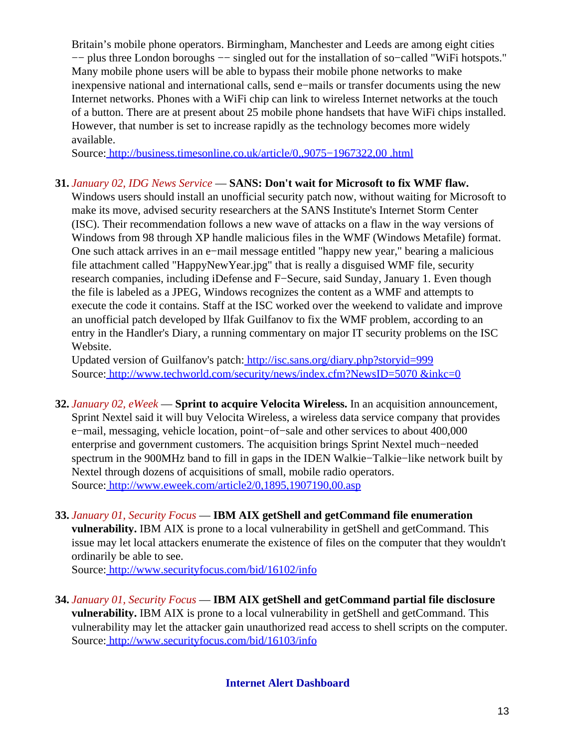Britain's mobile phone operators. Birmingham, Manchester and Leeds are among eight cities −− plus three London boroughs −− singled out for the installation of so−called "WiFi hotspots." Many mobile phone users will be able to bypass their mobile phone networks to make inexpensive national and international calls, send e−mails or transfer documents using the new Internet networks. Phones with a WiFi chip can link to wireless Internet networks at the touch of a button. There are at present about 25 mobile phone handsets that have WiFi chips installed. However, that number is set to increase rapidly as the technology becomes more widely available.

Source[: http://business.timesonline.co.uk/article/0,,9075−1967322,00 .html](http://business.timesonline.co.uk/article/0,,9075-1967322,00.html)

#### **31.** *January 02, IDG News Service* — **SANS: Don't wait for Microsoft to fix WMF flaw.**

Windows users should install an unofficial security patch now, without waiting for Microsoft to make its move, advised security researchers at the SANS Institute's Internet Storm Center (ISC). Their recommendation follows a new wave of attacks on a flaw in the way versions of Windows from 98 through XP handle malicious files in the WMF (Windows Metafile) format. One such attack arrives in an e−mail message entitled "happy new year," bearing a malicious file attachment called "HappyNewYear.jpg" that is really a disguised WMF file, security research companies, including iDefense and F−Secure, said Sunday, January 1. Even though the file is labeled as a JPEG, Windows recognizes the content as a WMF and attempts to execute the code it contains. Staff at the ISC worked over the weekend to validate and improve an unofficial patch developed by Ilfak Guilfanov to fix the WMF problem, according to an entry in the Handler's Diary, a running commentary on major IT security problems on the ISC Website.

Updated version of Guilfanov's patch:<http://isc.sans.org/diary.php?storyid=999> Source[: http://www.techworld.com/security/news/index.cfm?NewsID=5070 &inkc=0](http://www.techworld.com/security/news/index.cfm?NewsID=5070&inkc=0)

- **32.** *January 02, eWeek* — **Sprint to acquire Velocita Wireless.** In an acquisition announcement, Sprint Nextel said it will buy Velocita Wireless, a wireless data service company that provides e−mail, messaging, vehicle location, point−of−sale and other services to about 400,000 enterprise and government customers. The acquisition brings Sprint Nextel much−needed spectrum in the 900MHz band to fill in gaps in the IDEN Walkie−Talkie−like network built by Nextel through dozens of acquisitions of small, mobile radio operators. Source[: http://www.eweek.com/article2/0,1895,1907190,00.asp](http://www.eweek.com/article2/0,1895,1907190,00.asp)
- **33.** *January 01, Security Focus* — **IBM AIX getShell and getCommand file enumeration** vulnerability. IBM AIX is prone to a local vulnerability in getShell and getCommand. This issue may let local attackers enumerate the existence of files on the computer that they wouldn't ordinarily be able to see.

Source[: http://www.securityfocus.com/bid/16102/info](http://www.securityfocus.com/bid/16102/info)

<span id="page-12-0"></span>**34.** *January 01, Security Focus* — **IBM AIX getShell and getCommand partial file disclosure** vulnerability. IBM AIX is prone to a local vulnerability in getShell and getCommand. This vulnerability may let the attacker gain unauthorized read access to shell scripts on the computer. Source[: http://www.securityfocus.com/bid/16103/info](http://www.securityfocus.com/bid/16103/info)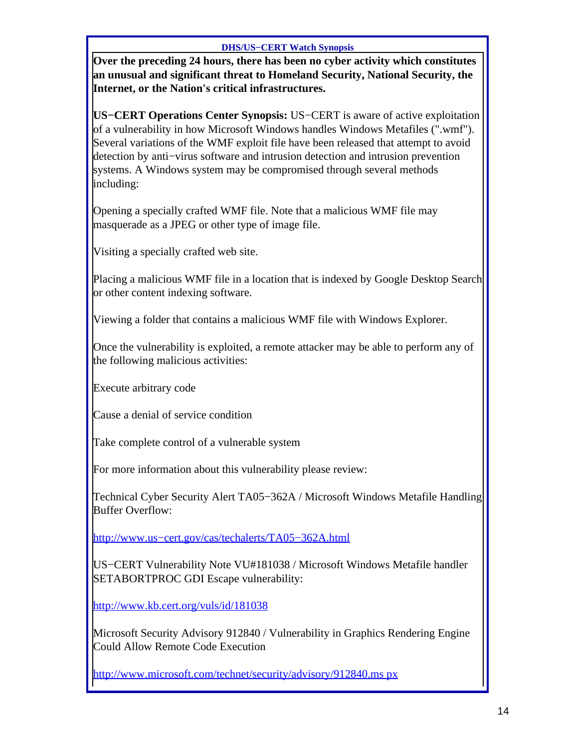#### **DHS/US−CERT Watch Synopsis**

**Over the preceding 24 hours, there has been no cyber activity which constitutes an unusual and significant threat to Homeland Security, National Security, the Internet, or the Nation's critical infrastructures.**

**US−CERT Operations Center Synopsis:** US−CERT is aware of active exploitation of a vulnerability in how Microsoft Windows handles Windows Metafiles (".wmf"). Several variations of the WMF exploit file have been released that attempt to avoid detection by anti−virus software and intrusion detection and intrusion prevention systems. A Windows system may be compromised through several methods including:

Opening a specially crafted WMF file. Note that a malicious WMF file may masquerade as a JPEG or other type of image file.

Visiting a specially crafted web site.

Placing a malicious WMF file in a location that is indexed by Google Desktop Search or other content indexing software.

Viewing a folder that contains a malicious WMF file with Windows Explorer.

Once the vulnerability is exploited, a remote attacker may be able to perform any of the following malicious activities:

Execute arbitrary code

Cause a denial of service condition

Take complete control of a vulnerable system

For more information about this vulnerability please review:

Technical Cyber Security Alert TA05−362A / Microsoft Windows Metafile Handling Buffer Overflow:

[http://www.us−cert.gov/cas/techalerts/TA05−362A.html](http://www.us-cert.gov/cas/techalerts/TA05-362A.html)

US−CERT Vulnerability Note VU#181038 / Microsoft Windows Metafile handler SETABORTPROC GDI Escape vulnerability:

<http://www.kb.cert.org/vuls/id/181038>

Microsoft Security Advisory 912840 / Vulnerability in Graphics Rendering Engine Could Allow Remote Code Execution

[http://www.microsoft.com/technet/security/advisory/912840.ms px](http://www.microsoft.com/technet/security/advisory/912840.mspx)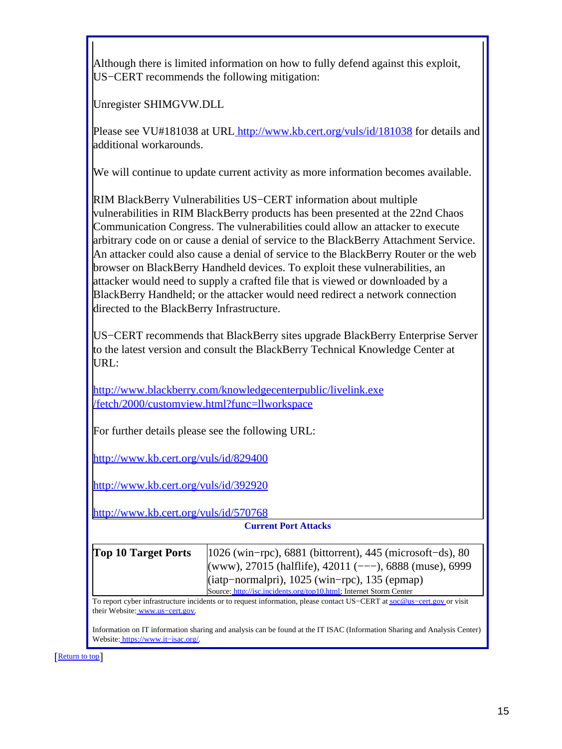Although there is limited information on how to fully defend against this exploit, US−CERT recommends the following mitigation:

Unregister SHIMGVW.DLL

Please see VU#181038 at URL<http://www.kb.cert.org/vuls/id/181038>for details and additional workarounds.

We will continue to update current activity as more information becomes available.

RIM BlackBerry Vulnerabilities US−CERT information about multiple vulnerabilities in RIM BlackBerry products has been presented at the 22nd Chaos Communication Congress. The vulnerabilities could allow an attacker to execute arbitrary code on or cause a denial of service to the BlackBerry Attachment Service. An attacker could also cause a denial of service to the BlackBerry Router or the web browser on BlackBerry Handheld devices. To exploit these vulnerabilities, an attacker would need to supply a crafted file that is viewed or downloaded by a BlackBerry Handheld; or the attacker would need redirect a network connection directed to the BlackBerry Infrastructure.

US−CERT recommends that BlackBerry sites upgrade BlackBerry Enterprise Server to the latest version and consult the BlackBerry Technical Knowledge Center at URL:

[http://www.blackberry.com/knowledgecenterpublic/livelink.exe](http://www.blackberry.com/knowledgecenterpublic/livelink.exe/fetch/2000/customview.html?func=llworkspace) [/fetch/2000/customview.html?func=llworkspace](http://www.blackberry.com/knowledgecenterpublic/livelink.exe/fetch/2000/customview.html?func=llworkspace)

For further details please see the following URL:

<http://www.kb.cert.org/vuls/id/829400>

<http://www.kb.cert.org/vuls/id/392920>

<http://www.kb.cert.org/vuls/id/570768>

**Current Port Attacks**

| <b>Top 10 Target Ports</b> | $ 1026 \text{ (win–rpc)}\rangle$ , 6881 (bittorrent), 445 (microsoft-ds), 80 |
|----------------------------|------------------------------------------------------------------------------|
|                            | (www), 27015 (halflife), 42011 (---), 6888 (muse), 6999                      |
|                            | (iatp-normalpri), 1025 (win-rpc), 135 (epmap)                                |
|                            | Source: http://isc.incidents.org/top10.html; Internet Storm Center           |

To report cyber infrastructure incidents or to request information, please contact US−CERT at [soc@us−cert.gov](mailto:soc@us-cert.gov) or visit their Website: [www.us−cert.gov.](http://www.us-cert.gov/)

Information on IT information sharing and analysis can be found at the IT ISAC (Information Sharing and Analysis Center) Website: [https://www.it−isac.org/.](https://www.it-isac.org/)

[[Return to top](#page-0-1)]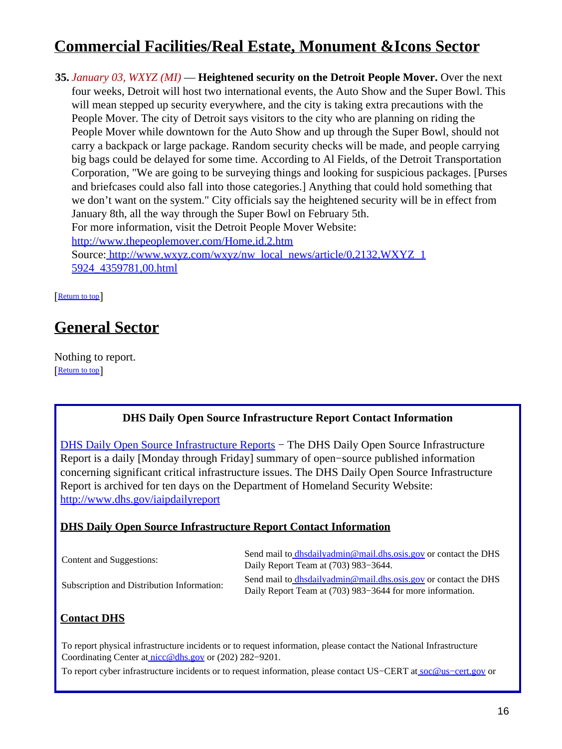# <span id="page-15-0"></span>**Commercial Facilities/Real Estate, Monument &Icons Sector**

**35.** *January 03, WXYZ (MI)* — **Heightened security on the Detroit People Mover.** Over the next four weeks, Detroit will host two international events, the Auto Show and the Super Bowl. This will mean stepped up security everywhere, and the city is taking extra precautions with the People Mover. The city of Detroit says visitors to the city who are planning on riding the People Mover while downtown for the Auto Show and up through the Super Bowl, should not carry a backpack or large package. Random security checks will be made, and people carrying big bags could be delayed for some time. According to Al Fields, of the Detroit Transportation Corporation, "We are going to be surveying things and looking for suspicious packages. [Purses and briefcases could also fall into those categories.] Anything that could hold something that we don't want on the system." City officials say the heightened security will be in effect from January 8th, all the way through the Super Bowl on February 5th. For more information, visit the Detroit People Mover Website: <http://www.thepeoplemover.com/Home.id.2.htm> Source[: http://www.wxyz.com/wxyz/nw\\_local\\_news/article/0,2132,WXYZ\\_1](http://www.wxyz.com/wxyz/nw_local_news/article/0,2132,WXYZ_15924_4359781,00.html) [5924\\_4359781,00.html](http://www.wxyz.com/wxyz/nw_local_news/article/0,2132,WXYZ_15924_4359781,00.html)

[[Return to top](#page-0-1)]

## <span id="page-15-1"></span>**General Sector**

Nothing to report. **[Return to top](#page-0-1)** 

#### **DHS Daily Open Source Infrastructure Report Contact Information**

<span id="page-15-2"></span>[DHS Daily Open Source Infrastructure Reports](http://www.dhs.gov/iaipdailyreport) – The DHS Daily Open Source Infrastructure Report is a daily [Monday through Friday] summary of open−source published information concerning significant critical infrastructure issues. The DHS Daily Open Source Infrastructure Report is archived for ten days on the Department of Homeland Security Website: <http://www.dhs.gov/iaipdailyreport>

#### **DHS Daily Open Source Infrastructure Report Contact Information**

| Content and Suggestions:                   | Send mail to <i>dhsdailyadmin@mail.dhs.osis.gov</i> or contact the DHS<br>Daily Report Team at (703) 983–3644.               |
|--------------------------------------------|------------------------------------------------------------------------------------------------------------------------------|
| Subscription and Distribution Information: | Send mail to dhsdailyadmin@mail.dhs.osis.gov or contact the DHS<br>Daily Report Team at (703) 983–3644 for more information. |

#### **Contact DHS**

To report physical infrastructure incidents or to request information, please contact the National Infrastructure Coordinating Center at [nicc@dhs.gov](mailto:nicc@dhs.gov) or (202) 282−9201.

To report cyber infrastructure incidents or to request information, please contact US–CERT at soc@us–cert.gov or